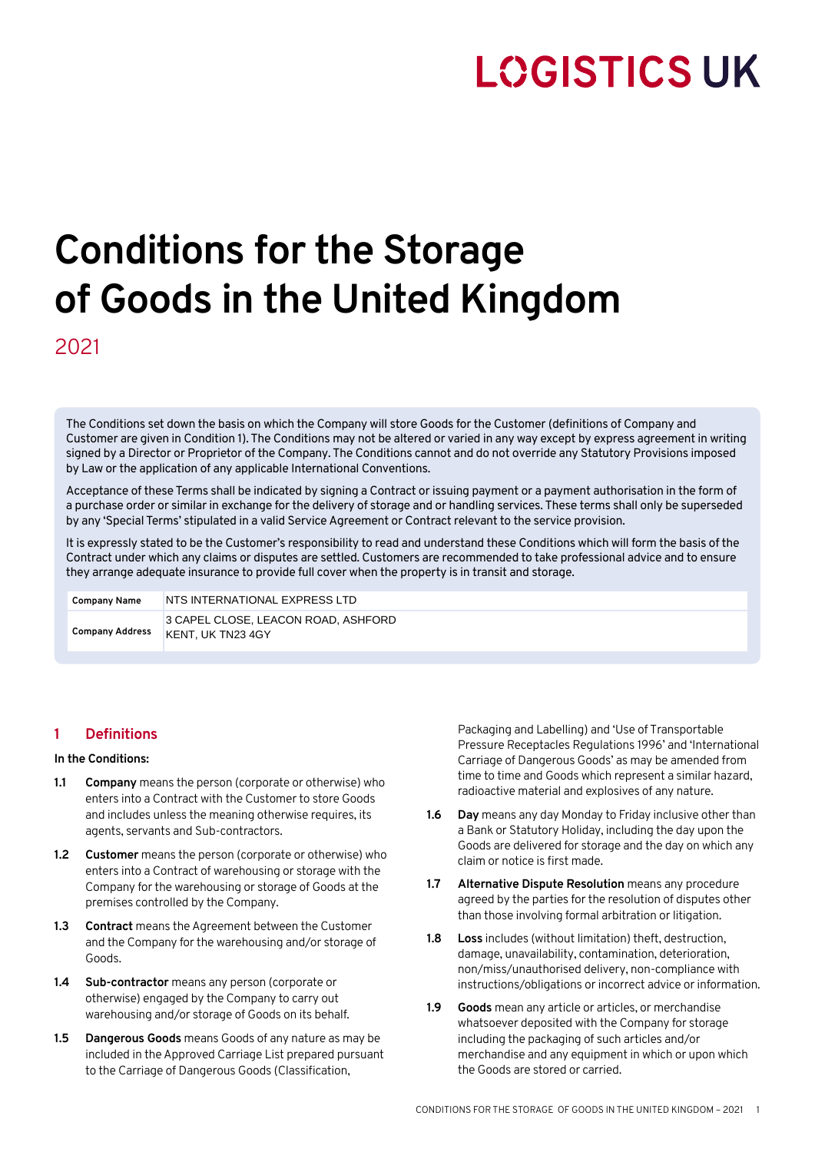## **LOGISTICS UK**

# **Conditions for the Storage of Goods in the United Kingdom**

2021

The Conditions set down the basis on which the Company will store Goods for the Customer (definitions of Company and Customer are given in Condition 1). The Conditions may not be altered or varied in any way except by express agreement in writing signed by a Director or Proprietor of the Company. The Conditions cannot and do not override any Statutory Provisions imposed by Law or the application of any applicable International Conventions.

Acceptance of these Terms shall be indicated by signing a Contract or issuing payment or a payment authorisation in the form of a purchase order or similar in exchange for the delivery of storage and or handling services. These terms shall only be superseded by any 'Special Terms' stipulated in a valid Service Agreement or Contract relevant to the service provision.

It is expressly stated to be the Customer's responsibility to read and understand these Conditions which will form the basis of the Contract under which any claims or disputes are settled. Customers are recommended to take professional advice and to ensure they arrange adequate insurance to provide full cover when the property is in transit and storage.

**Company Name Company Address** 3 CAPEL CLOSE, LEACON ROAD, ASHFORD NTS INTERNATIONAL EXPRESS LTD<br>3 CAPEL CLOSE, LEACON ROAD, AS<br>KENT, UK TN23 4GY

## **1 Definitions**

#### **In the Conditions:**

- **1.1 Company** means the person (corporate or otherwise) who enters into a Contract with the Customer to store Goods and includes unless the meaning otherwise requires, its agents, servants and Sub-contractors.
- **1.2 Customer** means the person (corporate or otherwise) who enters into a Contract of warehousing or storage with the Company for the warehousing or storage of Goods at the premises controlled by the Company.
- **1.3 Contract** means the Agreement between the Customer and the Company for the warehousing and/or storage of Goods.
- **1.4 Sub-contractor** means any person (corporate or otherwise) engaged by the Company to carry out warehousing and/or storage of Goods on its behalf.
- **1.5 Dangerous Goods** means Goods of any nature as may be included in the Approved Carriage List prepared pursuant to the Carriage of Dangerous Goods (Classification,

Packaging and Labelling) and 'Use of Transportable Pressure Receptacles Regulations 1996' and 'International Carriage of Dangerous Goods' as may be amended from time to time and Goods which represent a similar hazard, radioactive material and explosives of any nature.

- **1.6 Day** means any day Monday to Friday inclusive other than a Bank or Statutory Holiday, including the day upon the Goods are delivered for storage and the day on which any claim or notice is first made.
- **1.7 Alternative Dispute Resolution** means any procedure agreed by the parties for the resolution of disputes other than those involving formal arbitration or litigation.
- **1.8 Loss** includes (without limitation) theft, destruction, damage, unavailability, contamination, deterioration, non/miss/unauthorised delivery, non-compliance with instructions/obligations or incorrect advice or information.
- **1.9 Goods** mean any article or articles, or merchandise whatsoever deposited with the Company for storage including the packaging of such articles and/or merchandise and any equipment in which or upon which the Goods are stored or carried.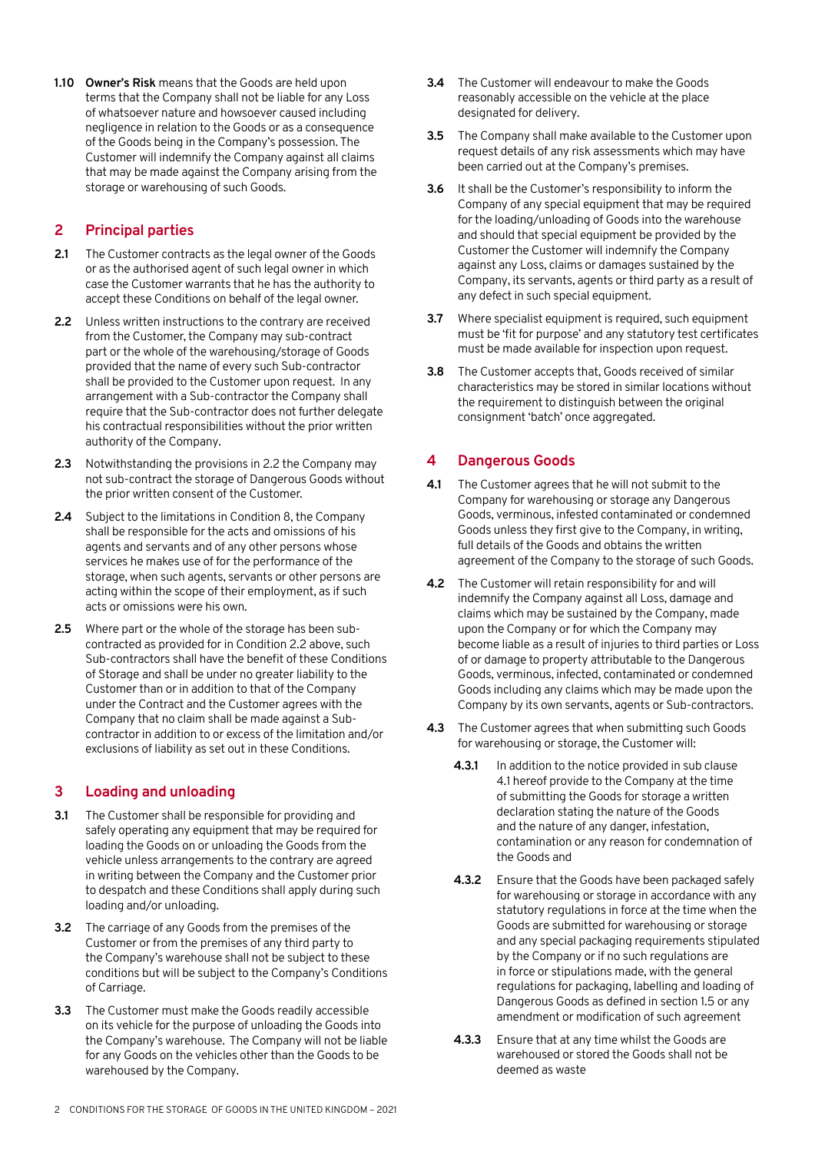**1.10 Owner's Risk** means that the Goods are held upon terms that the Company shall not be liable for any Loss of whatsoever nature and howsoever caused including negligence in relation to the Goods or as a consequence of the Goods being in the Company's possession. The Customer will indemnify the Company against all claims that may be made against the Company arising from the storage or warehousing of such Goods.

## **2 Principal parties**

- **2.1** The Customer contracts as the legal owner of the Goods or as the authorised agent of such legal owner in which case the Customer warrants that he has the authority to accept these Conditions on behalf of the legal owner.
- **2.2** Unless written instructions to the contrary are received from the Customer, the Company may sub-contract part or the whole of the warehousing/storage of Goods provided that the name of every such Sub-contractor shall be provided to the Customer upon request. In any arrangement with a Sub-contractor the Company shall require that the Sub-contractor does not further delegate his contractual responsibilities without the prior written authority of the Company.
- **2.3** Notwithstanding the provisions in 2.2 the Company may not sub-contract the storage of Dangerous Goods without the prior written consent of the Customer.
- **2.4** Subject to the limitations in Condition 8, the Company shall be responsible for the acts and omissions of his agents and servants and of any other persons whose services he makes use of for the performance of the storage, when such agents, servants or other persons are acting within the scope of their employment, as if such acts or omissions were his own.
- **2.5** Where part or the whole of the storage has been subcontracted as provided for in Condition 2.2 above, such Sub-contractors shall have the benefit of these Conditions of Storage and shall be under no greater liability to the Customer than or in addition to that of the Company under the Contract and the Customer agrees with the Company that no claim shall be made against a Subcontractor in addition to or excess of the limitation and/or exclusions of liability as set out in these Conditions.

## **3 Loading and unloading**

- **3.1** The Customer shall be responsible for providing and safely operating any equipment that may be required for loading the Goods on or unloading the Goods from the vehicle unless arrangements to the contrary are agreed in writing between the Company and the Customer prior to despatch and these Conditions shall apply during such loading and/or unloading.
- **3.2** The carriage of any Goods from the premises of the Customer or from the premises of any third party to the Company's warehouse shall not be subject to these conditions but will be subject to the Company's Conditions of Carriage.
- **3.3** The Customer must make the Goods readily accessible on its vehicle for the purpose of unloading the Goods into the Company's warehouse. The Company will not be liable for any Goods on the vehicles other than the Goods to be warehoused by the Company.
- **3.4** The Customer will endeavour to make the Goods reasonably accessible on the vehicle at the place designated for delivery.
- **3.5** The Company shall make available to the Customer upon request details of any risk assessments which may have been carried out at the Company's premises.
- **3.6** It shall be the Customer's responsibility to inform the Company of any special equipment that may be required for the loading/unloading of Goods into the warehouse and should that special equipment be provided by the Customer the Customer will indemnify the Company against any Loss, claims or damages sustained by the Company, its servants, agents or third party as a result of any defect in such special equipment.
- **3.7** Where specialist equipment is required, such equipment must be 'fit for purpose' and any statutory test certificates must be made available for inspection upon request.
- **3.8** The Customer accepts that, Goods received of similar characteristics may be stored in similar locations without the requirement to distinguish between the original consignment 'batch' once aggregated.

## **4 Dangerous Goods**

- **4.1** The Customer agrees that he will not submit to the Company for warehousing or storage any Dangerous Goods, verminous, infested contaminated or condemned Goods unless they first give to the Company, in writing, full details of the Goods and obtains the written agreement of the Company to the storage of such Goods.
- **4.2** The Customer will retain responsibility for and will indemnify the Company against all Loss, damage and claims which may be sustained by the Company, made upon the Company or for which the Company may become liable as a result of injuries to third parties or Loss of or damage to property attributable to the Dangerous Goods, verminous, infected, contaminated or condemned Goods including any claims which may be made upon the Company by its own servants, agents or Sub-contractors.
- **4.3** The Customer agrees that when submitting such Goods for warehousing or storage, the Customer will:
	- **4.3.1** In addition to the notice provided in sub clause 4.1 hereof provide to the Company at the time of submitting the Goods for storage a written declaration stating the nature of the Goods and the nature of any danger, infestation, contamination or any reason for condemnation of the Goods and
	- **4.3.2** Ensure that the Goods have been packaged safely for warehousing or storage in accordance with any statutory regulations in force at the time when the Goods are submitted for warehousing or storage and any special packaging requirements stipulated by the Company or if no such regulations are in force or stipulations made, with the general regulations for packaging, labelling and loading of Dangerous Goods as defined in section 1.5 or any amendment or modification of such agreement
	- **4.3.3** Ensure that at any time whilst the Goods are warehoused or stored the Goods shall not be deemed as waste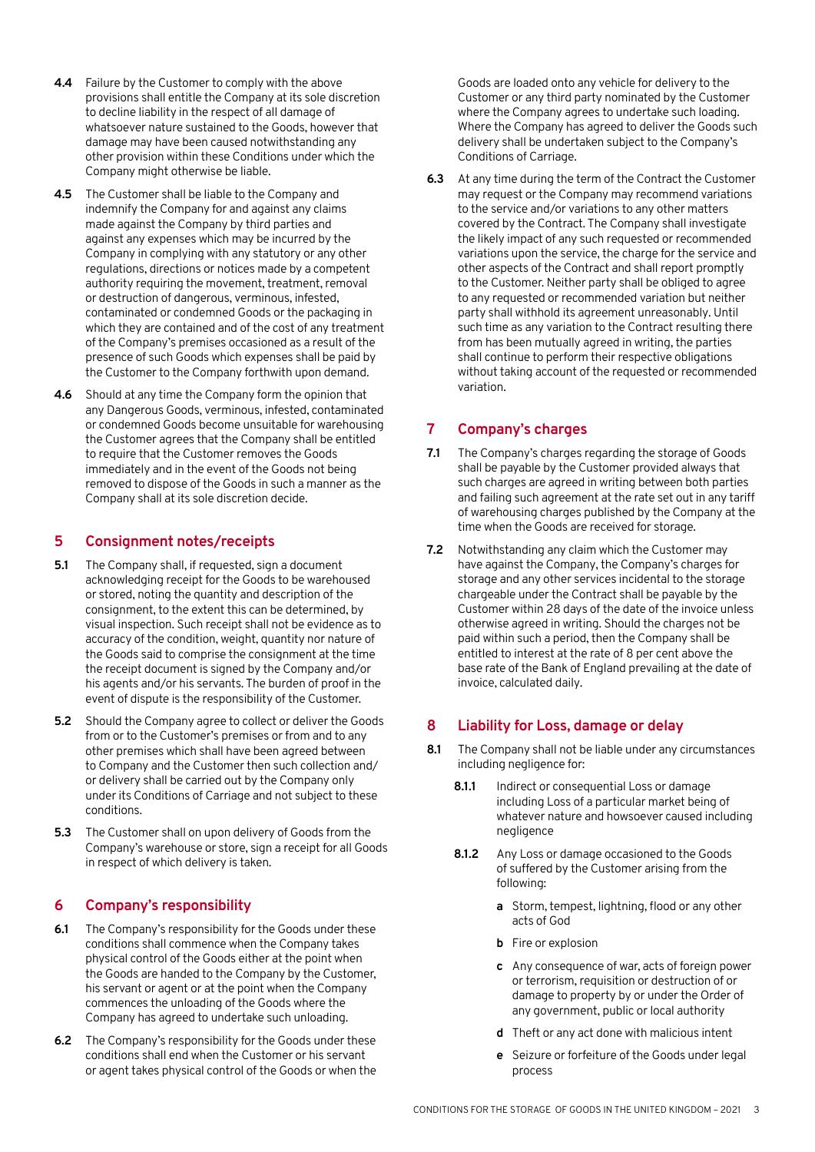- **4.4** Failure by the Customer to comply with the above provisions shall entitle the Company at its sole discretion to decline liability in the respect of all damage of whatsoever nature sustained to the Goods, however that damage may have been caused notwithstanding any other provision within these Conditions under which the Company might otherwise be liable.
- **4.5** The Customer shall be liable to the Company and indemnify the Company for and against any claims made against the Company by third parties and against any expenses which may be incurred by the Company in complying with any statutory or any other regulations, directions or notices made by a competent authority requiring the movement, treatment, removal or destruction of dangerous, verminous, infested, contaminated or condemned Goods or the packaging in which they are contained and of the cost of any treatment of the Company's premises occasioned as a result of the presence of such Goods which expenses shall be paid by the Customer to the Company forthwith upon demand.
- **4.6** Should at any time the Company form the opinion that any Dangerous Goods, verminous, infested, contaminated or condemned Goods become unsuitable for warehousing the Customer agrees that the Company shall be entitled to require that the Customer removes the Goods immediately and in the event of the Goods not being removed to dispose of the Goods in such a manner as the Company shall at its sole discretion decide.

## **5 Consignment notes/receipts**

- **5.1** The Company shall, if requested, sign a document acknowledging receipt for the Goods to be warehoused or stored, noting the quantity and description of the consignment, to the extent this can be determined, by visual inspection. Such receipt shall not be evidence as to accuracy of the condition, weight, quantity nor nature of the Goods said to comprise the consignment at the time the receipt document is signed by the Company and/or his agents and/or his servants. The burden of proof in the event of dispute is the responsibility of the Customer.
- **5.2** Should the Company agree to collect or deliver the Goods from or to the Customer's premises or from and to any other premises which shall have been agreed between to Company and the Customer then such collection and/ or delivery shall be carried out by the Company only under its Conditions of Carriage and not subject to these conditions.
- **5.3** The Customer shall on upon delivery of Goods from the Company's warehouse or store, sign a receipt for all Goods in respect of which delivery is taken.

## **6 Company's responsibility**

- **6.1** The Company's responsibility for the Goods under these conditions shall commence when the Company takes physical control of the Goods either at the point when the Goods are handed to the Company by the Customer, his servant or agent or at the point when the Company commences the unloading of the Goods where the Company has agreed to undertake such unloading.
- **6.2** The Company's responsibility for the Goods under these conditions shall end when the Customer or his servant or agent takes physical control of the Goods or when the

Goods are loaded onto any vehicle for delivery to the Customer or any third party nominated by the Customer where the Company agrees to undertake such loading. Where the Company has agreed to deliver the Goods such delivery shall be undertaken subject to the Company's Conditions of Carriage.

**6.3** At any time during the term of the Contract the Customer may request or the Company may recommend variations to the service and/or variations to any other matters covered by the Contract. The Company shall investigate the likely impact of any such requested or recommended variations upon the service, the charge for the service and other aspects of the Contract and shall report promptly to the Customer. Neither party shall be obliged to agree to any requested or recommended variation but neither party shall withhold its agreement unreasonably. Until such time as any variation to the Contract resulting there from has been mutually agreed in writing, the parties shall continue to perform their respective obligations without taking account of the requested or recommended variation.

## **7 Company's charges**

- **7.1** The Company's charges regarding the storage of Goods shall be payable by the Customer provided always that such charges are agreed in writing between both parties and failing such agreement at the rate set out in any tariff of warehousing charges published by the Company at the time when the Goods are received for storage.
- **7.2** Notwithstanding any claim which the Customer may have against the Company, the Company's charges for storage and any other services incidental to the storage chargeable under the Contract shall be payable by the Customer within 28 days of the date of the invoice unless otherwise agreed in writing. Should the charges not be paid within such a period, then the Company shall be entitled to interest at the rate of 8 per cent above the base rate of the Bank of England prevailing at the date of invoice, calculated daily.

## **8 Liability for Loss, damage or delay**

- **8.1** The Company shall not be liable under any circumstances including negligence for:
	- **8.1.1** Indirect or consequential Loss or damage including Loss of a particular market being of whatever nature and howsoever caused including negligence
	- **8.1.2** Any Loss or damage occasioned to the Goods of suffered by the Customer arising from the following:
		- **a** Storm, tempest, lightning, flood or any other acts of God
		- **b** Fire or explosion
		- **c** Any consequence of war, acts of foreign power or terrorism, requisition or destruction of or damage to property by or under the Order of any government, public or local authority
		- **d** Theft or any act done with malicious intent
		- **e** Seizure or forfeiture of the Goods under legal process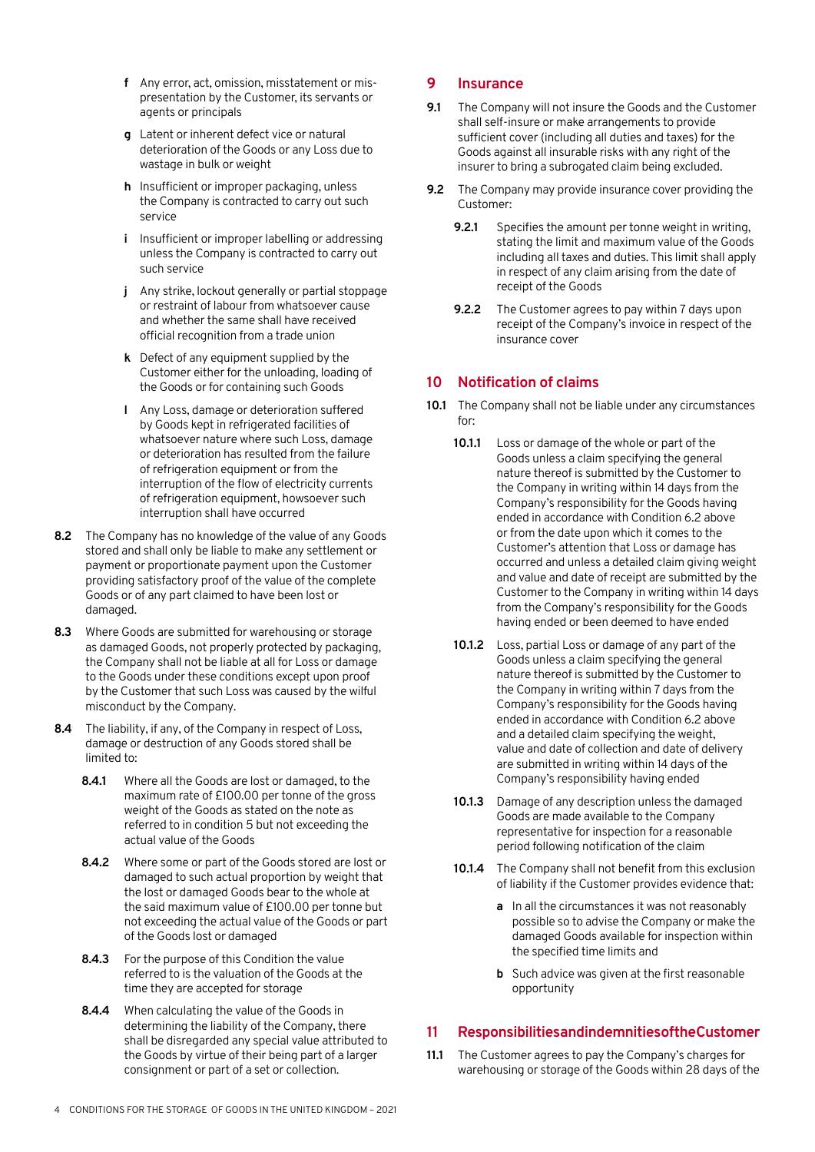- **f** Any error, act, omission, misstatement or mispresentation by the Customer, its servants or agents or principals
- **g** Latent or inherent defect vice or natural deterioration of the Goods or any Loss due to wastage in bulk or weight
- **h** Insufficient or improper packaging, unless the Company is contracted to carry out such service
- **i** Insufficient or improper labelling or addressing unless the Company is contracted to carry out such service
- **j** Any strike, lockout generally or partial stoppage or restraint of labour from whatsoever cause and whether the same shall have received official recognition from a trade union
- **k** Defect of any equipment supplied by the Customer either for the unloading, loading of the Goods or for containing such Goods
- **l** Any Loss, damage or deterioration suffered by Goods kept in refrigerated facilities of whatsoever nature where such Loss, damage or deterioration has resulted from the failure of refrigeration equipment or from the interruption of the flow of electricity currents of refrigeration equipment, howsoever such interruption shall have occurred
- **8.2** The Company has no knowledge of the value of any Goods stored and shall only be liable to make any settlement or payment or proportionate payment upon the Customer providing satisfactory proof of the value of the complete Goods or of any part claimed to have been lost or damaged.
- **8.3** Where Goods are submitted for warehousing or storage as damaged Goods, not properly protected by packaging, the Company shall not be liable at all for Loss or damage to the Goods under these conditions except upon proof by the Customer that such Loss was caused by the wilful misconduct by the Company.
- **8.4** The liability, if any, of the Company in respect of Loss, damage or destruction of any Goods stored shall be limited to:
	- **8.4.1** Where all the Goods are lost or damaged, to the maximum rate of £100.00 per tonne of the gross weight of the Goods as stated on the note as referred to in condition 5 but not exceeding the actual value of the Goods
	- **8.4.2** Where some or part of the Goods stored are lost or damaged to such actual proportion by weight that the lost or damaged Goods bear to the whole at the said maximum value of £100.00 per tonne but not exceeding the actual value of the Goods or part of the Goods lost or damaged
	- **8.4.3** For the purpose of this Condition the value referred to is the valuation of the Goods at the time they are accepted for storage
	- **8.4.4** When calculating the value of the Goods in determining the liability of the Company, there shall be disregarded any special value attributed to the Goods by virtue of their being part of a larger consignment or part of a set or collection.

#### **9 Insurance**

- **9.1** The Company will not insure the Goods and the Customer shall self-insure or make arrangements to provide sufficient cover (including all duties and taxes) for the Goods against all insurable risks with any right of the insurer to bring a subrogated claim being excluded.
- **9.2** The Company may provide insurance cover providing the Customer:
	- **9.2.1** Specifies the amount per tonne weight in writing, stating the limit and maximum value of the Goods including all taxes and duties. This limit shall apply in respect of any claim arising from the date of receipt of the Goods
	- **9.2.2** The Customer agrees to pay within 7 days upon receipt of the Company's invoice in respect of the insurance cover

#### **10 Notification of claims**

- **10.1** The Company shall not be liable under any circumstances for:
	- **10.1.1** Loss or damage of the whole or part of the Goods unless a claim specifying the general nature thereof is submitted by the Customer to the Company in writing within 14 days from the Company's responsibility for the Goods having ended in accordance with Condition 6.2 above or from the date upon which it comes to the Customer's attention that Loss or damage has occurred and unless a detailed claim giving weight and value and date of receipt are submitted by the Customer to the Company in writing within 14 days from the Company's responsibility for the Goods having ended or been deemed to have ended
	- **10.1.2** Loss, partial Loss or damage of any part of the Goods unless a claim specifying the general nature thereof is submitted by the Customer to the Company in writing within 7 days from the Company's responsibility for the Goods having ended in accordance with Condition 6.2 above and a detailed claim specifying the weight, value and date of collection and date of delivery are submitted in writing within 14 days of the Company's responsibility having ended
	- **10.1.3** Damage of any description unless the damaged Goods are made available to the Company representative for inspection for a reasonable period following notification of the claim
	- **10.1.4** The Company shall not benefit from this exclusion of liability if the Customer provides evidence that:
		- **a** In all the circumstances it was not reasonably possible so to advise the Company or make the damaged Goods available for inspection within the specified time limits and
		- **b** Such advice was given at the first reasonable opportunity

#### **11 Responsibilities and indemnities of the Customer**

**11.1** The Customer agrees to pay the Company's charges for warehousing or storage of the Goods within 28 days of the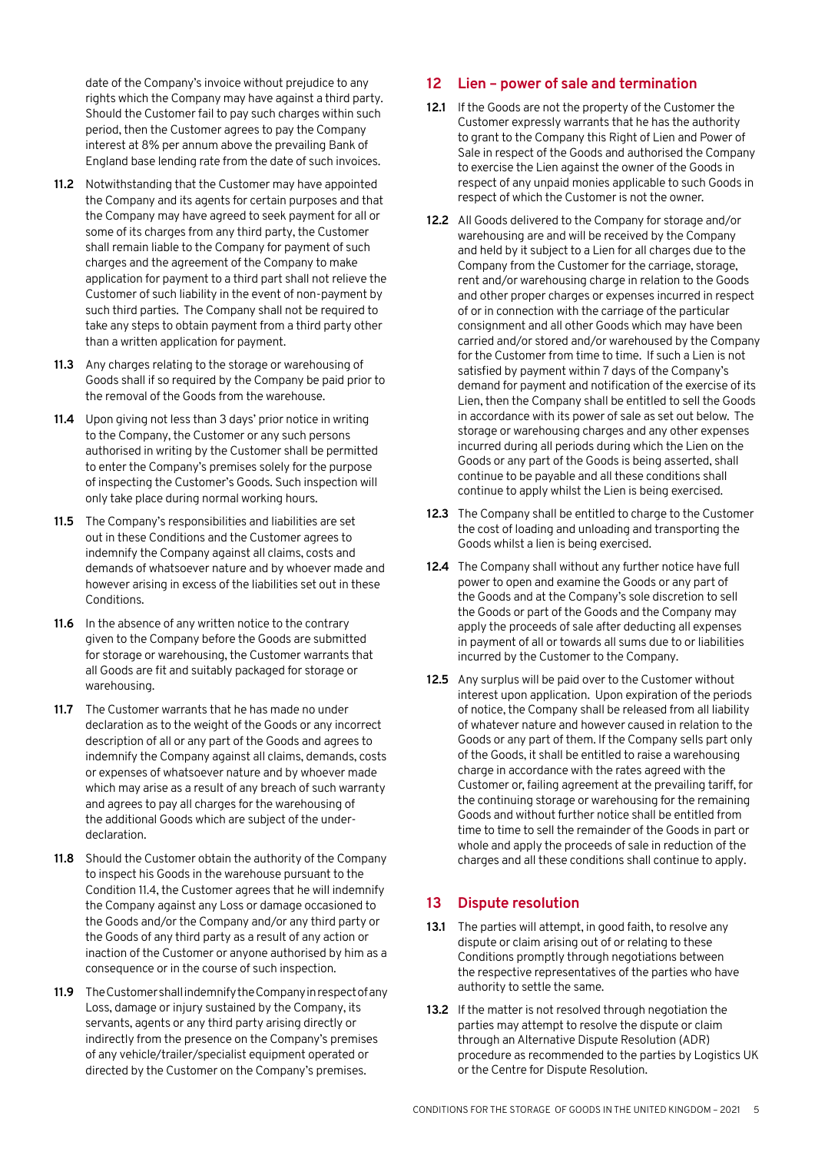date of the Company's invoice without prejudice to any rights which the Company may have against a third party. Should the Customer fail to pay such charges within such period, then the Customer agrees to pay the Company interest at 8% per annum above the prevailing Bank of England base lending rate from the date of such invoices.

- **11.2** Notwithstanding that the Customer may have appointed the Company and its agents for certain purposes and that the Company may have agreed to seek payment for all or some of its charges from any third party, the Customer shall remain liable to the Company for payment of such charges and the agreement of the Company to make application for payment to a third part shall not relieve the Customer of such liability in the event of non-payment by such third parties. The Company shall not be required to take any steps to obtain payment from a third party other than a written application for payment.
- **11.3** Any charges relating to the storage or warehousing of Goods shall if so required by the Company be paid prior to the removal of the Goods from the warehouse.
- **11.4** Upon giving not less than 3 days' prior notice in writing to the Company, the Customer or any such persons authorised in writing by the Customer shall be permitted to enter the Company's premises solely for the purpose of inspecting the Customer's Goods. Such inspection will only take place during normal working hours.
- **11.5** The Company's responsibilities and liabilities are set out in these Conditions and the Customer agrees to indemnify the Company against all claims, costs and demands of whatsoever nature and by whoever made and however arising in excess of the liabilities set out in these Conditions.
- **11.6** In the absence of any written notice to the contrary given to the Company before the Goods are submitted for storage or warehousing, the Customer warrants that all Goods are fit and suitably packaged for storage or warehousing.
- **11.7** The Customer warrants that he has made no under declaration as to the weight of the Goods or any incorrect description of all or any part of the Goods and agrees to indemnify the Company against all claims, demands, costs or expenses of whatsoever nature and by whoever made which may arise as a result of any breach of such warranty and agrees to pay all charges for the warehousing of the additional Goods which are subject of the underdeclaration.
- **11.8** Should the Customer obtain the authority of the Company to inspect his Goods in the warehouse pursuant to the Condition 11.4, the Customer agrees that he will indemnify the Company against any Loss or damage occasioned to the Goods and/or the Company and/or any third party or the Goods of any third party as a result of any action or inaction of the Customer or anyone authorised by him as a consequence or in the course of such inspection.
- **11.9** The Customer shall indemnify the Company in respect of any Loss, damage or injury sustained by the Company, its servants, agents or any third party arising directly or indirectly from the presence on the Company's premises of any vehicle/trailer/specialist equipment operated or directed by the Customer on the Company's premises.

## **12 Lien – power of sale and termination**

- **12.1** If the Goods are not the property of the Customer the Customer expressly warrants that he has the authority to grant to the Company this Right of Lien and Power of Sale in respect of the Goods and authorised the Company to exercise the Lien against the owner of the Goods in respect of any unpaid monies applicable to such Goods in respect of which the Customer is not the owner.
- **12.2** All Goods delivered to the Company for storage and/or warehousing are and will be received by the Company and held by it subject to a Lien for all charges due to the Company from the Customer for the carriage, storage, rent and/or warehousing charge in relation to the Goods and other proper charges or expenses incurred in respect of or in connection with the carriage of the particular consignment and all other Goods which may have been carried and/or stored and/or warehoused by the Company for the Customer from time to time. If such a Lien is not satisfied by payment within 7 days of the Company's demand for payment and notification of the exercise of its Lien, then the Company shall be entitled to sell the Goods in accordance with its power of sale as set out below. The storage or warehousing charges and any other expenses incurred during all periods during which the Lien on the Goods or any part of the Goods is being asserted, shall continue to be payable and all these conditions shall continue to apply whilst the Lien is being exercised.
- **12.3** The Company shall be entitled to charge to the Customer the cost of loading and unloading and transporting the Goods whilst a lien is being exercised.
- **12.4** The Company shall without any further notice have full power to open and examine the Goods or any part of the Goods and at the Company's sole discretion to sell the Goods or part of the Goods and the Company may apply the proceeds of sale after deducting all expenses in payment of all or towards all sums due to or liabilities incurred by the Customer to the Company.
- **12.5** Any surplus will be paid over to the Customer without interest upon application. Upon expiration of the periods of notice, the Company shall be released from all liability of whatever nature and however caused in relation to the Goods or any part of them. If the Company sells part only of the Goods, it shall be entitled to raise a warehousing charge in accordance with the rates agreed with the Customer or, failing agreement at the prevailing tariff, for the continuing storage or warehousing for the remaining Goods and without further notice shall be entitled from time to time to sell the remainder of the Goods in part or whole and apply the proceeds of sale in reduction of the charges and all these conditions shall continue to apply.

## **13 Dispute resolution**

- **13.1** The parties will attempt, in good faith, to resolve any dispute or claim arising out of or relating to these Conditions promptly through negotiations between the respective representatives of the parties who have authority to settle the same.
- **13.2** If the matter is not resolved through negotiation the parties may attempt to resolve the dispute or claim through an Alternative Dispute Resolution (ADR) procedure as recommended to the parties by Logistics UK or the Centre for Dispute Resolution.